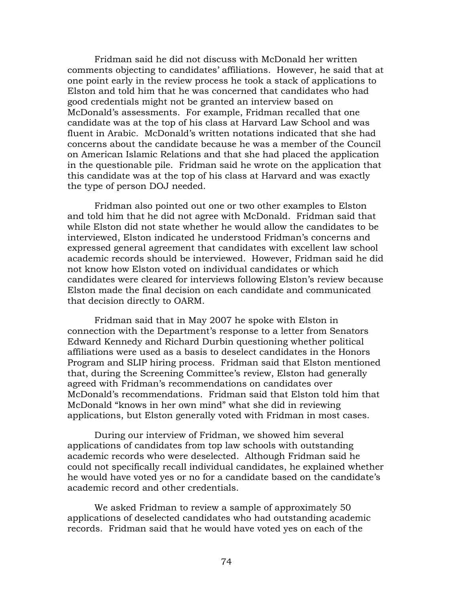Fridman said he did not discuss with McDonald her written comments objecting to candidates' affiliations. However, he said that at one point early in the review process he took a stack of applications to Elston and told him that he was concerned that candidates who had good credentials might not be granted an interview based on McDonald's assessments. For example, Fridman recalled that one candidate was at the top of his class at Harvard Law School and was fluent in Arabic. McDonald's written notations indicated that she had concerns about the candidate because he was a member of the Council on American Islamic Relations and that she had placed the application in the questionable pile. Fridman said he wrote on the application that this candidate was at the top of his class at Harvard and was exactly the type of person DOJ needed.

Fridman also pointed out one or two other examples to Elston and told him that he did not agree with McDonald. Fridman said that while Elston did not state whether he would allow the candidates to be interviewed, Elston indicated he understood Fridman's concerns and expressed general agreement that candidates with excellent law school academic records should be interviewed. However, Fridman said he did not know how Elston voted on individual candidates or which candidates were cleared for interviews following Elston's review because Elston made the final decision on each candidate and communicated that decision directly to OARM.

Fridman said that in May 2007 he spoke with Elston in connection with the Department's response to a letter from Senators Edward Kennedy and Richard Durbin questioning whether political affiliations were used as a basis to deselect candidates in the Honors Program and SLIP hiring process. Fridman said that Elston mentioned that, during the Screening Committee's review, Elston had generally agreed with Fridman's recommendations on candidates over McDonald's recommendations. Fridman said that Elston told him that McDonald "knows in her own mind" what she did in reviewing applications, but Elston generally voted with Fridman in most cases.

During our interview of Fridman, we showed him several applications of candidates from top law schools with outstanding academic records who were deselected. Although Fridman said he could not specifically recall individual candidates, he explained whether he would have voted yes or no for a candidate based on the candidate's academic record and other credentials.

We asked Fridman to review a sample of approximately 50 applications of deselected candidates who had outstanding academic records. Fridman said that he would have voted yes on each of the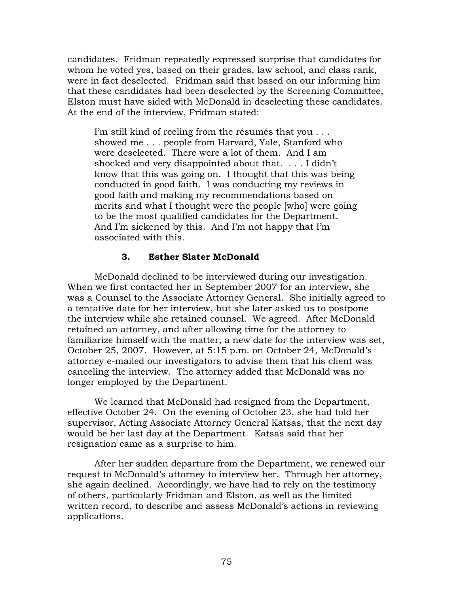candidates. Fridman repeatedly expressed surprise that candidates for whom he voted yes, based on their grades, law school, and class rank, were in fact deselected. Fridman said that based on our informing him that these candidates had been deselected by the Screening Committee, Elston must have sided with McDonald in deselecting these candidates. At the end of the interview, Fridman stated:

I'm still kind of reeling from the résumés that you . . . showed me . . . people from Harvard, Yale, Stanford who were deselected. There were a lot of them. And I am shocked and very disappointed about that. . . . I didn't know that this was going on. I thought that this was being conducted in good faith. I was conducting my reviews in good faith and making my recommendations based on merits and what I thought were the people [who] were going to be the most qualified candidates for the Department. And I'm sickened by this. And I'm not happy that I'm associated with this.

# **3. Esther Slater McDonald**

McDonald declined to be interviewed during our investigation. When we first contacted her in September 2007 for an interview, she was a Counsel to the Associate Attorney General. She initially agreed to a tentative date for her interview, but she later asked us to postpone the interview while she retained counsel. We agreed. After McDonald retained an attorney, and after allowing time for the attorney to familiarize himself with the matter, a new date for the interview was set, October 25, 2007. However, at 5:15 p.m. on October 24, McDonald's attorney e-mailed our investigators to advise them that his client was canceling the interview. The attorney added that McDonald was no longer employed by the Department.

We learned that McDonald had resigned from the Department, effective October 24. On the evening of October 23, she had told her supervisor, Acting Associate Attorney General Katsas, that the next day would be her last day at the Department. Katsas said that her resignation came as a surprise to him.

After her sudden departure from the Department, we renewed our request to McDonald's attorney to interview her. Through her attorney, she again declined. Accordingly, we have had to rely on the testimony of others, particularly Fridman and Elston, as well as the limited written record, to describe and assess McDonald's actions in reviewing applications.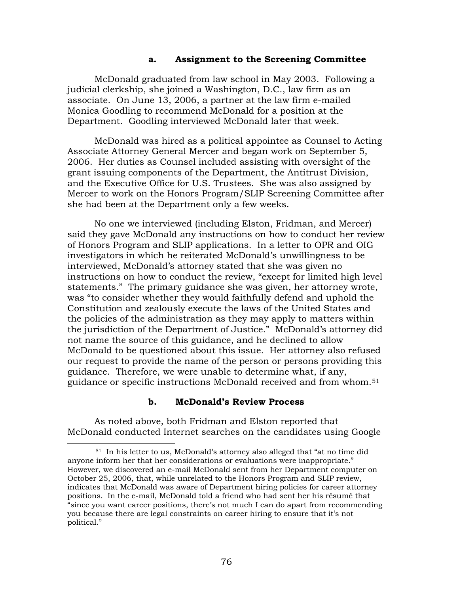#### **a. Assignment to the Screening Committee**

McDonald graduated from law school in May 2003. Following a judicial clerkship, she joined a Washington, D.C., law firm as an associate. On June 13, 2006, a partner at the law firm e-mailed Monica Goodling to recommend McDonald for a position at the Department. Goodling interviewed McDonald later that week.

McDonald was hired as a political appointee as Counsel to Acting Associate Attorney General Mercer and began work on September 5, 2006. Her duties as Counsel included assisting with oversight of the grant issuing components of the Department, the Antitrust Division, and the Executive Office for U.S. Trustees. She was also assigned by Mercer to work on the Honors Program/SLIP Screening Committee after she had been at the Department only a few weeks.

No one we interviewed (including Elston, Fridman, and Mercer) said they gave McDonald any instructions on how to conduct her review of Honors Program and SLIP applications. In a letter to OPR and OIG investigators in which he reiterated McDonald's unwillingness to be interviewed, McDonald's attorney stated that she was given no instructions on how to conduct the review, "except for limited high level statements." The primary guidance she was given, her attorney wrote, was "to consider whether they would faithfully defend and uphold the Constitution and zealously execute the laws of the United States and the policies of the administration as they may apply to matters within the jurisdiction of the Department of Justice." McDonald's attorney did not name the source of this guidance, and he declined to allow McDonald to be questioned about this issue. Her attorney also refused our request to provide the name of the person or persons providing this guidance. Therefore, we were unable to determine what, if any, guidance or specific instructions McDonald received and from whom.[51](#page-80-0)

### **b. McDonald's Review Process**

As noted above, both Fridman and Elston reported that McDonald conducted Internet searches on the candidates using Google

1

<span id="page-80-0"></span><sup>51</sup> In his letter to us, McDonald's attorney also alleged that "at no time did anyone inform her that her considerations or evaluations were inappropriate." However, we discovered an e-mail McDonald sent from her Department computer on October 25, 2006, that, while unrelated to the Honors Program and SLIP review, indicates that McDonald was aware of Department hiring policies for career attorney positions. In the e-mail, McDonald told a friend who had sent her his résumé that "since you want career positions, there's not much I can do apart from recommending you because there are legal constraints on career hiring to ensure that it's not political."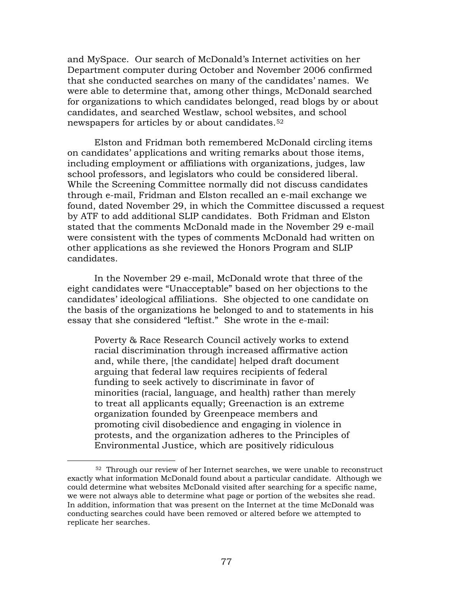and MySpace. Our search of McDonald's Internet activities on her Department computer during October and November 2006 confirmed that she conducted searches on many of the candidates' names. We were able to determine that, among other things, McDonald searched for organizations to which candidates belonged, read blogs by or about candidates, and searched Westlaw, school websites, and school newspapers for articles by or about candidates.[52](#page-81-0)

Elston and Fridman both remembered McDonald circling items on candidates' applications and writing remarks about those items, including employment or affiliations with organizations, judges, law school professors, and legislators who could be considered liberal. While the Screening Committee normally did not discuss candidates through e-mail, Fridman and Elston recalled an e-mail exchange we found, dated November 29, in which the Committee discussed a request by ATF to add additional SLIP candidates. Both Fridman and Elston stated that the comments McDonald made in the November 29 e-mail were consistent with the types of comments McDonald had written on other applications as she reviewed the Honors Program and SLIP candidates.

In the November 29 e-mail, McDonald wrote that three of the eight candidates were "Unacceptable" based on her objections to the candidates' ideological affiliations. She objected to one candidate on the basis of the organizations he belonged to and to statements in his essay that she considered "leftist." She wrote in the e-mail:

Poverty & Race Research Council actively works to extend racial discrimination through increased affirmative action and, while there, [the candidate] helped draft document arguing that federal law requires recipients of federal funding to seek actively to discriminate in favor of minorities (racial, language, and health) rather than merely to treat all applicants equally; Greenaction is an extreme organization founded by Greenpeace members and promoting civil disobedience and engaging in violence in protests, and the organization adheres to the Principles of Environmental Justice, which are positively ridiculous

1

<span id="page-81-0"></span><sup>52</sup> Through our review of her Internet searches, we were unable to reconstruct exactly what information McDonald found about a particular candidate. Although we could determine what websites McDonald visited after searching for a specific name, we were not always able to determine what page or portion of the websites she read. In addition, information that was present on the Internet at the time McDonald was conducting searches could have been removed or altered before we attempted to replicate her searches.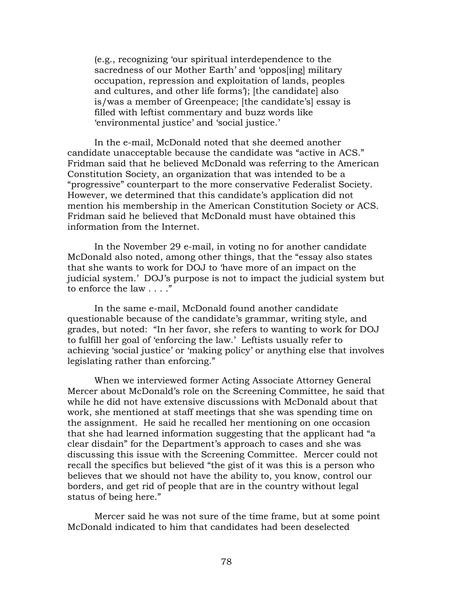(e.g., recognizing 'our spiritual interdependence to the sacredness of our Mother Earth' and 'oppos[ing] military occupation, repression and exploitation of lands, peoples and cultures, and other life forms'); [the candidate] also is/was a member of Greenpeace; [the candidate's] essay is filled with leftist commentary and buzz words like 'environmental justice' and 'social justice.'

In the e-mail, McDonald noted that she deemed another candidate unacceptable because the candidate was "active in ACS." Fridman said that he believed McDonald was referring to the American Constitution Society, an organization that was intended to be a "progressive" counterpart to the more conservative Federalist Society. However, we determined that this candidate's application did not mention his membership in the American Constitution Society or ACS. Fridman said he believed that McDonald must have obtained this information from the Internet.

In the November 29 e-mail, in voting no for another candidate McDonald also noted, among other things, that the "essay also states that she wants to work for DOJ to 'have more of an impact on the judicial system.' DOJ's purpose is not to impact the judicial system but to enforce the law . . . ."

 In the same e-mail, McDonald found another candidate questionable because of the candidate's grammar, writing style, and grades, but noted: "In her favor, she refers to wanting to work for DOJ to fulfill her goal of 'enforcing the law.' Leftists usually refer to achieving 'social justice' or 'making policy' or anything else that involves legislating rather than enforcing."

When we interviewed former Acting Associate Attorney General Mercer about McDonald's role on the Screening Committee, he said that while he did not have extensive discussions with McDonald about that work, she mentioned at staff meetings that she was spending time on the assignment. He said he recalled her mentioning on one occasion that she had learned information suggesting that the applicant had "a clear disdain" for the Department's approach to cases and she was discussing this issue with the Screening Committee. Mercer could not recall the specifics but believed "the gist of it was this is a person who believes that we should not have the ability to, you know, control our borders, and get rid of people that are in the country without legal status of being here."

Mercer said he was not sure of the time frame, but at some point McDonald indicated to him that candidates had been deselected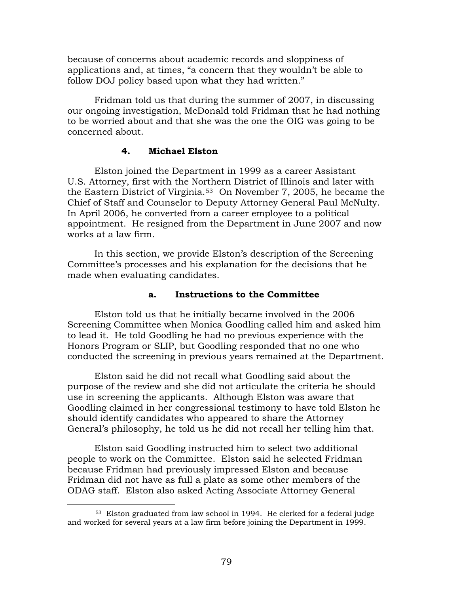because of concerns about academic records and sloppiness of applications and, at times, "a concern that they wouldn't be able to follow DOJ policy based upon what they had written."

Fridman told us that during the summer of 2007, in discussing our ongoing investigation, McDonald told Fridman that he had nothing to be worried about and that she was the one the OIG was going to be concerned about.

### **4. Michael Elston**

Elston joined the Department in 1999 as a career Assistant U.S. Attorney, first with the Northern District of Illinois and later with the Eastern District of Virginia.[53](#page-83-0) On November 7, 2005, he became the Chief of Staff and Counselor to Deputy Attorney General Paul McNulty. In April 2006, he converted from a career employee to a political appointment. He resigned from the Department in June 2007 and now works at a law firm.

In this section, we provide Elston's description of the Screening Committee's processes and his explanation for the decisions that he made when evaluating candidates.

#### **a. Instructions to the Committee**

Elston told us that he initially became involved in the 2006 Screening Committee when Monica Goodling called him and asked him to lead it. He told Goodling he had no previous experience with the Honors Program or SLIP, but Goodling responded that no one who conducted the screening in previous years remained at the Department.

Elston said he did not recall what Goodling said about the purpose of the review and she did not articulate the criteria he should use in screening the applicants. Although Elston was aware that Goodling claimed in her congressional testimony to have told Elston he should identify candidates who appeared to share the Attorney General's philosophy, he told us he did not recall her telling him that.

Elston said Goodling instructed him to select two additional people to work on the Committee. Elston said he selected Fridman because Fridman had previously impressed Elston and because Fridman did not have as full a plate as some other members of the ODAG staff. Elston also asked Acting Associate Attorney General

<span id="page-83-0"></span><sup>53</sup> Elston graduated from law school in 1994. He clerked for a federal judge and worked for several years at a law firm before joining the Department in 1999.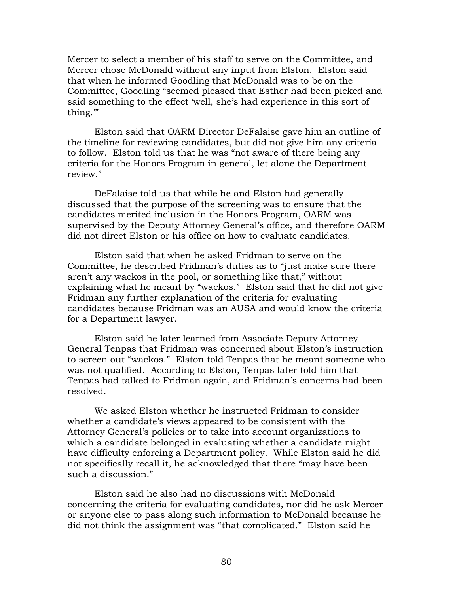Mercer to select a member of his staff to serve on the Committee, and Mercer chose McDonald without any input from Elston. Elston said that when he informed Goodling that McDonald was to be on the Committee, Goodling "seemed pleased that Esther had been picked and said something to the effect 'well, she's had experience in this sort of thing.'"

Elston said that OARM Director DeFalaise gave him an outline of the timeline for reviewing candidates, but did not give him any criteria to follow. Elston told us that he was "not aware of there being any criteria for the Honors Program in general, let alone the Department review."

DeFalaise told us that while he and Elston had generally discussed that the purpose of the screening was to ensure that the candidates merited inclusion in the Honors Program, OARM was supervised by the Deputy Attorney General's office, and therefore OARM did not direct Elston or his office on how to evaluate candidates.

Elston said that when he asked Fridman to serve on the Committee, he described Fridman's duties as to "just make sure there aren't any wackos in the pool, or something like that," without explaining what he meant by "wackos." Elston said that he did not give Fridman any further explanation of the criteria for evaluating candidates because Fridman was an AUSA and would know the criteria for a Department lawyer.

Elston said he later learned from Associate Deputy Attorney General Tenpas that Fridman was concerned about Elston's instruction to screen out "wackos." Elston told Tenpas that he meant someone who was not qualified. According to Elston, Tenpas later told him that Tenpas had talked to Fridman again, and Fridman's concerns had been resolved.

We asked Elston whether he instructed Fridman to consider whether a candidate's views appeared to be consistent with the Attorney General's policies or to take into account organizations to which a candidate belonged in evaluating whether a candidate might have difficulty enforcing a Department policy. While Elston said he did not specifically recall it, he acknowledged that there "may have been such a discussion."

Elston said he also had no discussions with McDonald concerning the criteria for evaluating candidates, nor did he ask Mercer or anyone else to pass along such information to McDonald because he did not think the assignment was "that complicated." Elston said he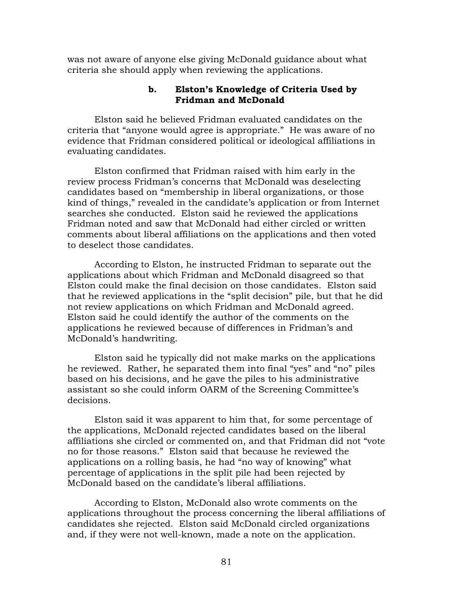was not aware of anyone else giving McDonald guidance about what criteria she should apply when reviewing the applications.

## **b. Elston's Knowledge of Criteria Used by Fridman and McDonald**

Elston said he believed Fridman evaluated candidates on the criteria that "anyone would agree is appropriate." He was aware of no evidence that Fridman considered political or ideological affiliations in evaluating candidates.

Elston confirmed that Fridman raised with him early in the review process Fridman's concerns that McDonald was deselecting candidates based on "membership in liberal organizations, or those kind of things," revealed in the candidate's application or from Internet searches she conducted. Elston said he reviewed the applications Fridman noted and saw that McDonald had either circled or written comments about liberal affiliations on the applications and then voted to deselect those candidates.

According to Elston, he instructed Fridman to separate out the applications about which Fridman and McDonald disagreed so that Elston could make the final decision on those candidates. Elston said that he reviewed applications in the "split decision" pile, but that he did not review applications on which Fridman and McDonald agreed. Elston said he could identify the author of the comments on the applications he reviewed because of differences in Fridman's and McDonald's handwriting.

Elston said he typically did not make marks on the applications he reviewed. Rather, he separated them into final "yes" and "no" piles based on his decisions, and he gave the piles to his administrative assistant so she could inform OARM of the Screening Committee's decisions.

Elston said it was apparent to him that, for some percentage of the applications, McDonald rejected candidates based on the liberal affiliations she circled or commented on, and that Fridman did not "vote no for those reasons." Elston said that because he reviewed the applications on a rolling basis, he had "no way of knowing" what percentage of applications in the split pile had been rejected by McDonald based on the candidate's liberal affiliations.

According to Elston, McDonald also wrote comments on the applications throughout the process concerning the liberal affiliations of candidates she rejected. Elston said McDonald circled organizations and, if they were not well-known, made a note on the application.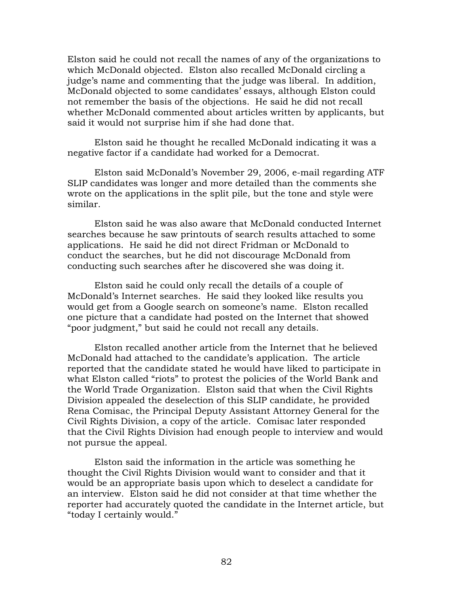Elston said he could not recall the names of any of the organizations to which McDonald objected. Elston also recalled McDonald circling a judge's name and commenting that the judge was liberal. In addition, McDonald objected to some candidates' essays, although Elston could not remember the basis of the objections. He said he did not recall whether McDonald commented about articles written by applicants, but said it would not surprise him if she had done that.

Elston said he thought he recalled McDonald indicating it was a negative factor if a candidate had worked for a Democrat.

Elston said McDonald's November 29, 2006, e-mail regarding ATF SLIP candidates was longer and more detailed than the comments she wrote on the applications in the split pile, but the tone and style were similar.

 Elston said he was also aware that McDonald conducted Internet searches because he saw printouts of search results attached to some applications. He said he did not direct Fridman or McDonald to conduct the searches, but he did not discourage McDonald from conducting such searches after he discovered she was doing it.

Elston said he could only recall the details of a couple of McDonald's Internet searches. He said they looked like results you would get from a Google search on someone's name. Elston recalled one picture that a candidate had posted on the Internet that showed "poor judgment," but said he could not recall any details.

Elston recalled another article from the Internet that he believed McDonald had attached to the candidate's application. The article reported that the candidate stated he would have liked to participate in what Elston called "riots" to protest the policies of the World Bank and the World Trade Organization. Elston said that when the Civil Rights Division appealed the deselection of this SLIP candidate, he provided Rena Comisac, the Principal Deputy Assistant Attorney General for the Civil Rights Division, a copy of the article. Comisac later responded that the Civil Rights Division had enough people to interview and would not pursue the appeal.

Elston said the information in the article was something he thought the Civil Rights Division would want to consider and that it would be an appropriate basis upon which to deselect a candidate for an interview. Elston said he did not consider at that time whether the reporter had accurately quoted the candidate in the Internet article, but "today I certainly would."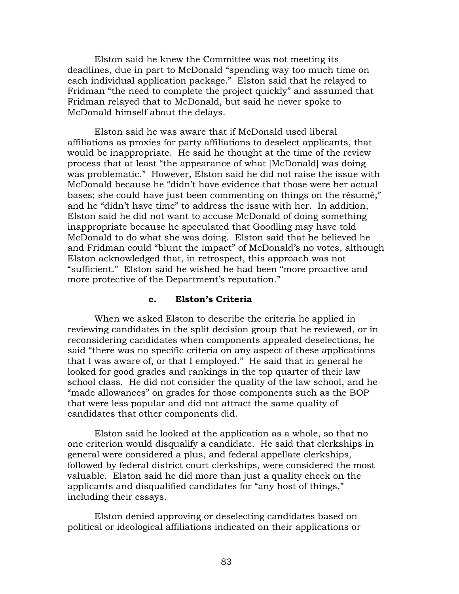Elston said he knew the Committee was not meeting its deadlines, due in part to McDonald "spending way too much time on each individual application package." Elston said that he relayed to Fridman "the need to complete the project quickly" and assumed that Fridman relayed that to McDonald, but said he never spoke to McDonald himself about the delays.

 Elston said he was aware that if McDonald used liberal affiliations as proxies for party affiliations to deselect applicants, that would be inappropriate. He said he thought at the time of the review process that at least "the appearance of what [McDonald] was doing was problematic." However, Elston said he did not raise the issue with McDonald because he "didn't have evidence that those were her actual bases; she could have just been commenting on things on the résumé," and he "didn't have time" to address the issue with her. In addition, Elston said he did not want to accuse McDonald of doing something inappropriate because he speculated that Goodling may have told McDonald to do what she was doing. Elston said that he believed he and Fridman could "blunt the impact" of McDonald's no votes, although Elston acknowledged that, in retrospect, this approach was not "sufficient." Elston said he wished he had been "more proactive and more protective of the Department's reputation."

#### **c. Elston's Criteria**

When we asked Elston to describe the criteria he applied in reviewing candidates in the split decision group that he reviewed, or in reconsidering candidates when components appealed deselections, he said "there was no specific criteria on any aspect of these applications that I was aware of, or that I employed." He said that in general he looked for good grades and rankings in the top quarter of their law school class. He did not consider the quality of the law school, and he "made allowances" on grades for those components such as the BOP that were less popular and did not attract the same quality of candidates that other components did.

Elston said he looked at the application as a whole, so that no one criterion would disqualify a candidate. He said that clerkships in general were considered a plus, and federal appellate clerkships, followed by federal district court clerkships, were considered the most valuable. Elston said he did more than just a quality check on the applicants and disqualified candidates for "any host of things," including their essays.

Elston denied approving or deselecting candidates based on political or ideological affiliations indicated on their applications or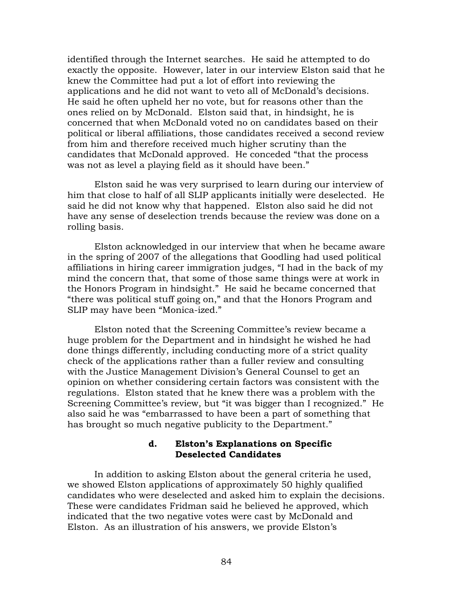identified through the Internet searches. He said he attempted to do exactly the opposite. However, later in our interview Elston said that he knew the Committee had put a lot of effort into reviewing the applications and he did not want to veto all of McDonald's decisions. He said he often upheld her no vote, but for reasons other than the ones relied on by McDonald. Elston said that, in hindsight, he is concerned that when McDonald voted no on candidates based on their political or liberal affiliations, those candidates received a second review from him and therefore received much higher scrutiny than the candidates that McDonald approved. He conceded "that the process was not as level a playing field as it should have been."

Elston said he was very surprised to learn during our interview of him that close to half of all SLIP applicants initially were deselected. He said he did not know why that happened. Elston also said he did not have any sense of deselection trends because the review was done on a rolling basis.

Elston acknowledged in our interview that when he became aware in the spring of 2007 of the allegations that Goodling had used political affiliations in hiring career immigration judges, "I had in the back of my mind the concern that, that some of those same things were at work in the Honors Program in hindsight." He said he became concerned that "there was political stuff going on," and that the Honors Program and SLIP may have been "Monica-ized."

Elston noted that the Screening Committee's review became a huge problem for the Department and in hindsight he wished he had done things differently, including conducting more of a strict quality check of the applications rather than a fuller review and consulting with the Justice Management Division's General Counsel to get an opinion on whether considering certain factors was consistent with the regulations. Elston stated that he knew there was a problem with the Screening Committee's review, but "it was bigger than I recognized." He also said he was "embarrassed to have been a part of something that has brought so much negative publicity to the Department."

### **d. Elston's Explanations on Specific Deselected Candidates**

In addition to asking Elston about the general criteria he used, we showed Elston applications of approximately 50 highly qualified candidates who were deselected and asked him to explain the decisions. These were candidates Fridman said he believed he approved, which indicated that the two negative votes were cast by McDonald and Elston. As an illustration of his answers, we provide Elston's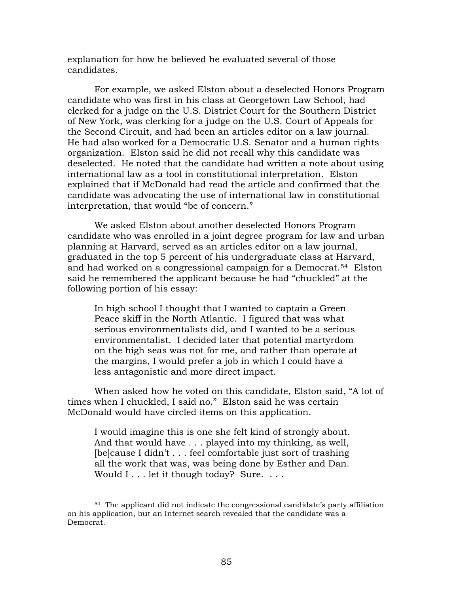explanation for how he believed he evaluated several of those candidates.

For example, we asked Elston about a deselected Honors Program candidate who was first in his class at Georgetown Law School, had clerked for a judge on the U.S. District Court for the Southern District of New York, was clerking for a judge on the U.S. Court of Appeals for the Second Circuit, and had been an articles editor on a law journal. He had also worked for a Democratic U.S. Senator and a human rights organization. Elston said he did not recall why this candidate was deselected. He noted that the candidate had written a note about using international law as a tool in constitutional interpretation. Elston explained that if McDonald had read the article and confirmed that the candidate was advocating the use of international law in constitutional interpretation, that would "be of concern."

We asked Elston about another deselected Honors Program candidate who was enrolled in a joint degree program for law and urban planning at Harvard, served as an articles editor on a law journal, graduated in the top 5 percent of his undergraduate class at Harvard, and had worked on a congressional campaign for a Democrat.<sup>[54](#page-89-0)</sup> Elston said he remembered the applicant because he had "chuckled" at the following portion of his essay:

In high school I thought that I wanted to captain a Green Peace skiff in the North Atlantic. I figured that was what serious environmentalists did, and I wanted to be a serious environmentalist. I decided later that potential martyrdom on the high seas was not for me, and rather than operate at the margins, I would prefer a job in which I could have a less antagonistic and more direct impact.

When asked how he voted on this candidate, Elston said, "A lot of times when I chuckled, I said no." Elston said he was certain McDonald would have circled items on this application.

I would imagine this is one she felt kind of strongly about. And that would have . . . played into my thinking, as well, [be]cause I didn't . . . feel comfortable just sort of trashing all the work that was, was being done by Esther and Dan. Would I . . . let it though today? Sure. . . .

<span id="page-89-0"></span><sup>54</sup> The applicant did not indicate the congressional candidate's party affiliation on his application, but an Internet search revealed that the candidate was a Democrat.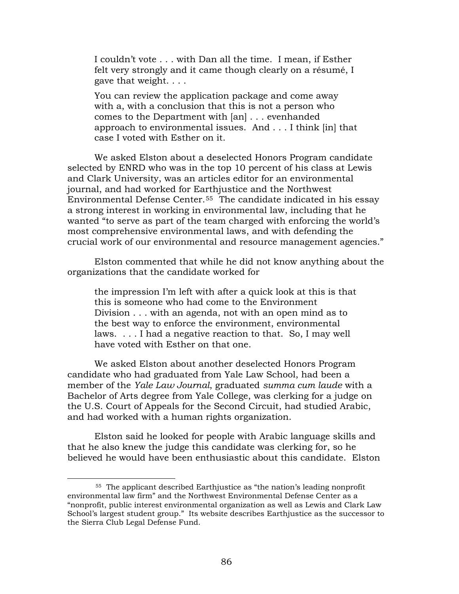I couldn't vote . . . with Dan all the time. I mean, if Esther felt very strongly and it came though clearly on a résumé, I gave that weight. . . .

You can review the application package and come away with a, with a conclusion that this is not a person who comes to the Department with [an] . . . evenhanded approach to environmental issues. And . . . I think [in] that case I voted with Esther on it.

We asked Elston about a deselected Honors Program candidate selected by ENRD who was in the top 10 percent of his class at Lewis and Clark University, was an articles editor for an environmental journal, and had worked for Earthjustice and the Northwest Environmental Defense Center.[55](#page-90-0) The candidate indicated in his essay a strong interest in working in environmental law, including that he wanted "to serve as part of the team charged with enforcing the world's most comprehensive environmental laws, and with defending the crucial work of our environmental and resource management agencies."

Elston commented that while he did not know anything about the organizations that the candidate worked for

the impression I'm left with after a quick look at this is that this is someone who had come to the Environment Division . . . with an agenda, not with an open mind as to the best way to enforce the environment, environmental laws. . . . I had a negative reaction to that. So, I may well have voted with Esther on that one.

We asked Elston about another deselected Honors Program candidate who had graduated from Yale Law School, had been a member of the *Yale Law Journal*, graduated *summa cum laude* with a Bachelor of Arts degree from Yale College, was clerking for a judge on the U.S. Court of Appeals for the Second Circuit, had studied Arabic, and had worked with a human rights organization.

Elston said he looked for people with Arabic language skills and that he also knew the judge this candidate was clerking for, so he believed he would have been enthusiastic about this candidate. Elston

<span id="page-90-0"></span><sup>55</sup> The applicant described Earthjustice as "the nation's leading nonprofit environmental law firm" and the Northwest Environmental Defense Center as a "nonprofit, public interest environmental organization as well as Lewis and Clark Law School's largest student group." Its website describes Earthjustice as the successor to the Sierra Club Legal Defense Fund.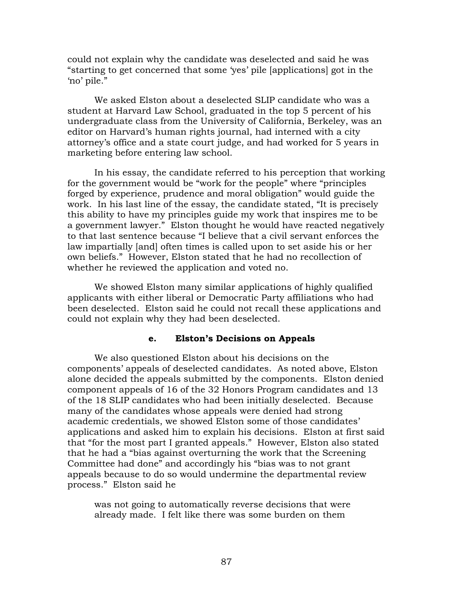could not explain why the candidate was deselected and said he was "starting to get concerned that some 'yes' pile [applications] got in the 'no' pile."

We asked Elston about a deselected SLIP candidate who was a student at Harvard Law School, graduated in the top 5 percent of his undergraduate class from the University of California, Berkeley, was an editor on Harvard's human rights journal, had interned with a city attorney's office and a state court judge, and had worked for 5 years in marketing before entering law school.

In his essay, the candidate referred to his perception that working for the government would be "work for the people" where "principles forged by experience, prudence and moral obligation" would guide the work. In his last line of the essay, the candidate stated, "It is precisely this ability to have my principles guide my work that inspires me to be a government lawyer." Elston thought he would have reacted negatively to that last sentence because "I believe that a civil servant enforces the law impartially [and] often times is called upon to set aside his or her own beliefs." However, Elston stated that he had no recollection of whether he reviewed the application and voted no.

We showed Elston many similar applications of highly qualified applicants with either liberal or Democratic Party affiliations who had been deselected. Elston said he could not recall these applications and could not explain why they had been deselected.

### **e. Elston's Decisions on Appeals**

We also questioned Elston about his decisions on the components' appeals of deselected candidates. As noted above, Elston alone decided the appeals submitted by the components. Elston denied component appeals of 16 of the 32 Honors Program candidates and 13 of the 18 SLIP candidates who had been initially deselected. Because many of the candidates whose appeals were denied had strong academic credentials, we showed Elston some of those candidates' applications and asked him to explain his decisions. Elston at first said that "for the most part I granted appeals." However, Elston also stated that he had a "bias against overturning the work that the Screening Committee had done" and accordingly his "bias was to not grant appeals because to do so would undermine the departmental review process." Elston said he

was not going to automatically reverse decisions that were already made. I felt like there was some burden on them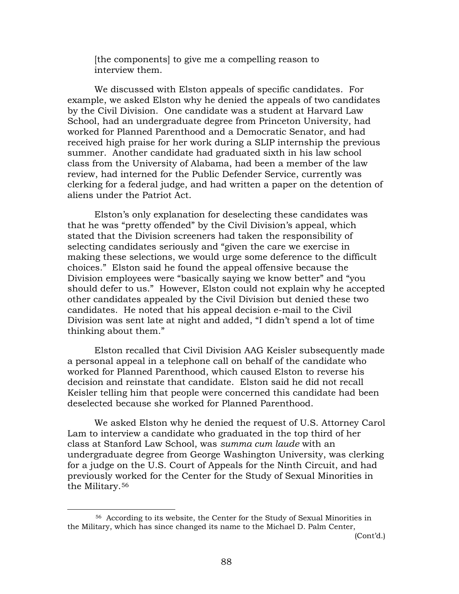[the components] to give me a compelling reason to interview them.

We discussed with Elston appeals of specific candidates. For example, we asked Elston why he denied the appeals of two candidates by the Civil Division. One candidate was a student at Harvard Law School, had an undergraduate degree from Princeton University, had worked for Planned Parenthood and a Democratic Senator, and had received high praise for her work during a SLIP internship the previous summer. Another candidate had graduated sixth in his law school class from the University of Alabama, had been a member of the law review, had interned for the Public Defender Service, currently was clerking for a federal judge, and had written a paper on the detention of aliens under the Patriot Act.

Elston's only explanation for deselecting these candidates was that he was "pretty offended" by the Civil Division's appeal, which stated that the Division screeners had taken the responsibility of selecting candidates seriously and "given the care we exercise in making these selections, we would urge some deference to the difficult choices." Elston said he found the appeal offensive because the Division employees were "basically saying we know better" and "you should defer to us." However, Elston could not explain why he accepted other candidates appealed by the Civil Division but denied these two candidates. He noted that his appeal decision e-mail to the Civil Division was sent late at night and added, "I didn't spend a lot of time thinking about them."

Elston recalled that Civil Division AAG Keisler subsequently made a personal appeal in a telephone call on behalf of the candidate who worked for Planned Parenthood, which caused Elston to reverse his decision and reinstate that candidate. Elston said he did not recall Keisler telling him that people were concerned this candidate had been deselected because she worked for Planned Parenthood.

We asked Elston why he denied the request of U.S. Attorney Carol Lam to interview a candidate who graduated in the top third of her class at Stanford Law School, was *summa cum laude* with an undergraduate degree from George Washington University, was clerking for a judge on the U.S. Court of Appeals for the Ninth Circuit, and had previously worked for the Center for the Study of Sexual Minorities in the Military.[56](#page-92-0)

1

<span id="page-92-0"></span><sup>56</sup> According to its website, the Center for the Study of Sexual Minorities in the Military, which has since changed its name to the Michael D. Palm Center,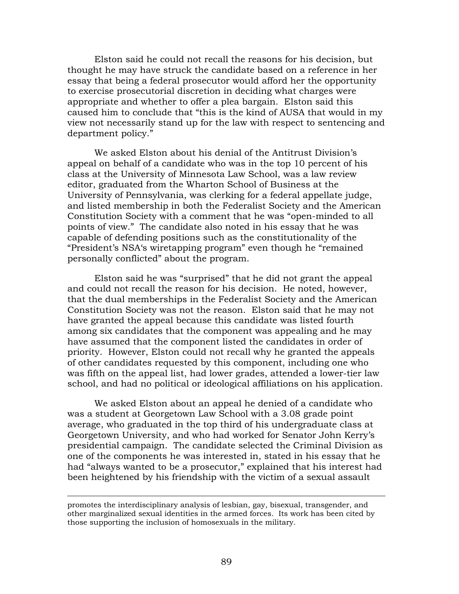Elston said he could not recall the reasons for his decision, but thought he may have struck the candidate based on a reference in her essay that being a federal prosecutor would afford her the opportunity to exercise prosecutorial discretion in deciding what charges were appropriate and whether to offer a plea bargain. Elston said this caused him to conclude that "this is the kind of AUSA that would in my view not necessarily stand up for the law with respect to sentencing and department policy."

We asked Elston about his denial of the Antitrust Division's appeal on behalf of a candidate who was in the top 10 percent of his class at the University of Minnesota Law School, was a law review editor, graduated from the Wharton School of Business at the University of Pennsylvania, was clerking for a federal appellate judge, and listed membership in both the Federalist Society and the American Constitution Society with a comment that he was "open-minded to all points of view." The candidate also noted in his essay that he was capable of defending positions such as the constitutionality of the "President's NSA's wiretapping program" even though he "remained personally conflicted" about the program.

 Elston said he was "surprised" that he did not grant the appeal and could not recall the reason for his decision. He noted, however, that the dual memberships in the Federalist Society and the American Constitution Society was not the reason. Elston said that he may not have granted the appeal because this candidate was listed fourth among six candidates that the component was appealing and he may have assumed that the component listed the candidates in order of priority. However, Elston could not recall why he granted the appeals of other candidates requested by this component, including one who was fifth on the appeal list, had lower grades, attended a lower-tier law school, and had no political or ideological affiliations on his application.

We asked Elston about an appeal he denied of a candidate who was a student at Georgetown Law School with a 3.08 grade point average, who graduated in the top third of his undergraduate class at Georgetown University, and who had worked for Senator John Kerry's presidential campaign. The candidate selected the Criminal Division as one of the components he was interested in, stated in his essay that he had "always wanted to be a prosecutor," explained that his interest had been heightened by his friendship with the victim of a sexual assault

promotes the interdisciplinary analysis of lesbian, gay, bisexual, transgender, and other marginalized sexual identities in the armed forces. Its work has been cited by those supporting the inclusion of homosexuals in the military.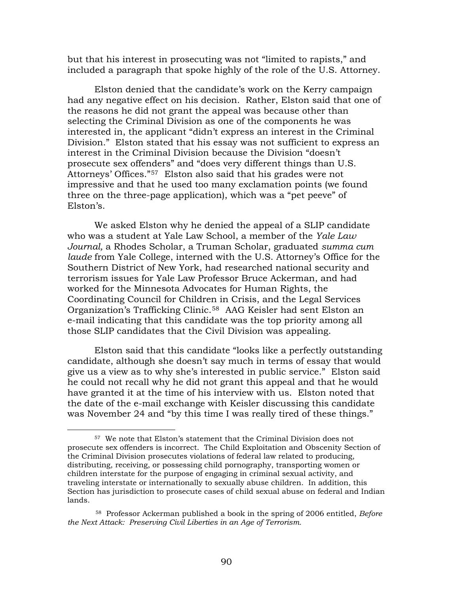but that his interest in prosecuting was not "limited to rapists," and included a paragraph that spoke highly of the role of the U.S. Attorney.

Elston denied that the candidate's work on the Kerry campaign had any negative effect on his decision. Rather, Elston said that one of the reasons he did not grant the appeal was because other than selecting the Criminal Division as one of the components he was interested in, the applicant "didn't express an interest in the Criminal Division." Elston stated that his essay was not sufficient to express an interest in the Criminal Division because the Division "doesn't prosecute sex offenders" and "does very different things than U.S. Attorneys' Offices."[57](#page-94-0) Elston also said that his grades were not impressive and that he used too many exclamation points (we found three on the three-page application), which was a "pet peeve" of Elston's.

We asked Elston why he denied the appeal of a SLIP candidate who was a student at Yale Law School, a member of the *Yale Law Journal,* a Rhodes Scholar, a Truman Scholar, graduated *summa cum laude* from Yale College, interned with the U.S. Attorney's Office for the Southern District of New York, had researched national security and terrorism issues for Yale Law Professor Bruce Ackerman, and had worked for the Minnesota Advocates for Human Rights, the Coordinating Council for Children in Crisis, and the Legal Services Organization's Trafficking Clinic.[58](#page-94-1) AAG Keisler had sent Elston an e-mail indicating that this candidate was the top priority among all those SLIP candidates that the Civil Division was appealing.

Elston said that this candidate "looks like a perfectly outstanding candidate, although she doesn't say much in terms of essay that would give us a view as to why she's interested in public service." Elston said he could not recall why he did not grant this appeal and that he would have granted it at the time of his interview with us. Elston noted that the date of the e-mail exchange with Keisler discussing this candidate was November 24 and "by this time I was really tired of these things."

<span id="page-94-0"></span><sup>57</sup> We note that Elston's statement that the Criminal Division does not prosecute sex offenders is incorrect. The Child Exploitation and Obscenity Section of the Criminal Division prosecutes violations of federal law related to producing, distributing, receiving, or possessing child pornography, transporting women or children interstate for the purpose of engaging in criminal sexual activity, and traveling interstate or internationally to sexually abuse children. In addition, this Section has jurisdiction to prosecute cases of child sexual abuse on federal and Indian lands.

<span id="page-94-1"></span><sup>58</sup> Professor Ackerman published a book in the spring of 2006 entitled, *[Before](http://yalepress.yale.edu/yupbooks/book.asp?isbn=0300112890)  [the Next Attack: Preserving Civil Liberties in an Age of Terrorism](http://yalepress.yale.edu/yupbooks/book.asp?isbn=0300112890).*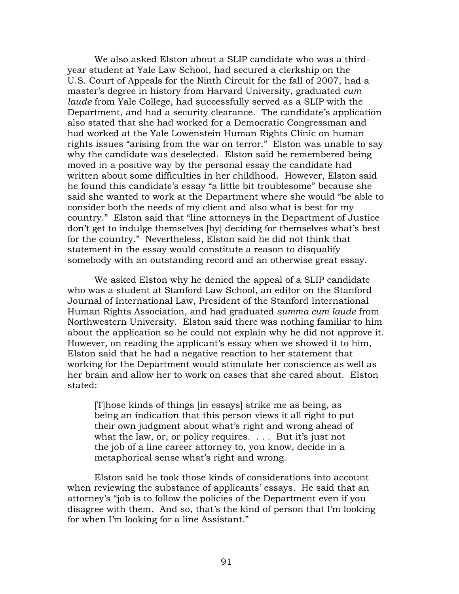We also asked Elston about a SLIP candidate who was a thirdyear student at Yale Law School, had secured a clerkship on the U.S. Court of Appeals for the Ninth Circuit for the fall of 2007, had a master's degree in history from Harvard University, graduated *cum laude* from Yale College, had successfully served as a SLIP with the Department, and had a security clearance. The candidate's application also stated that she had worked for a Democratic Congressman and had worked at the Yale Lowenstein Human Rights Clinic on human rights issues "arising from the war on terror." Elston was unable to say why the candidate was deselected. Elston said he remembered being moved in a positive way by the personal essay the candidate had written about some difficulties in her childhood. However, Elston said he found this candidate's essay "a little bit troublesome" because she said she wanted to work at the Department where she would "be able to consider both the needs of my client and also what is best for my country." Elston said that "line attorneys in the Department of Justice don't get to indulge themselves [by] deciding for themselves what's best for the country." Nevertheless, Elston said he did not think that statement in the essay would constitute a reason to disqualify somebody with an outstanding record and an otherwise great essay.

We asked Elston why he denied the appeal of a SLIP candidate who was a student at Stanford Law School, an editor on the Stanford Journal of International Law, President of the Stanford International Human Rights Association, and had graduated *summa cum laude* from Northwestern University. Elston said there was nothing familiar to him about the application so he could not explain why he did not approve it. However, on reading the applicant's essay when we showed it to him, Elston said that he had a negative reaction to her statement that working for the Department would stimulate her conscience as well as her brain and allow her to work on cases that she cared about. Elston stated:

[T]hose kinds of things [in essays] strike me as being, as being an indication that this person views it all right to put their own judgment about what's right and wrong ahead of what the law, or, or policy requires.  $\ldots$  But it's just not the job of a line career attorney to, you know, decide in a metaphorical sense what's right and wrong.

Elston said he took those kinds of considerations into account when reviewing the substance of applicants' essays. He said that an attorney's "job is to follow the policies of the Department even if you disagree with them. And so, that's the kind of person that I'm looking for when I'm looking for a line Assistant."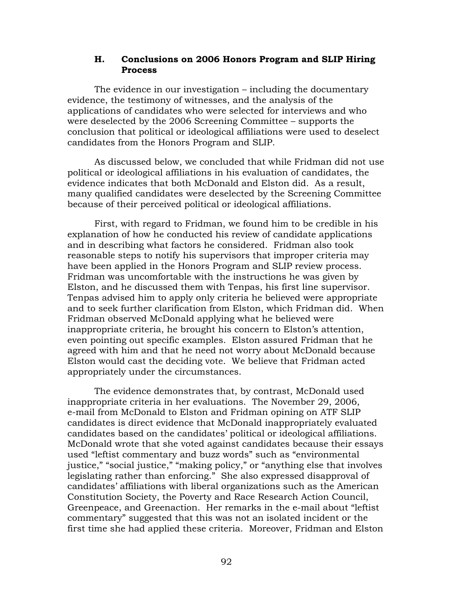## **H. Conclusions on 2006 Honors Program and SLIP Hiring Process**

The evidence in our investigation – including the documentary evidence, the testimony of witnesses, and the analysis of the applications of candidates who were selected for interviews and who were deselected by the 2006 Screening Committee – supports the conclusion that political or ideological affiliations were used to deselect candidates from the Honors Program and SLIP.

As discussed below, we concluded that while Fridman did not use political or ideological affiliations in his evaluation of candidates, the evidence indicates that both McDonald and Elston did. As a result, many qualified candidates were deselected by the Screening Committee because of their perceived political or ideological affiliations.

First, with regard to Fridman, we found him to be credible in his explanation of how he conducted his review of candidate applications and in describing what factors he considered. Fridman also took reasonable steps to notify his supervisors that improper criteria may have been applied in the Honors Program and SLIP review process. Fridman was uncomfortable with the instructions he was given by Elston, and he discussed them with Tenpas, his first line supervisor. Tenpas advised him to apply only criteria he believed were appropriate and to seek further clarification from Elston, which Fridman did. When Fridman observed McDonald applying what he believed were inappropriate criteria, he brought his concern to Elston's attention, even pointing out specific examples. Elston assured Fridman that he agreed with him and that he need not worry about McDonald because Elston would cast the deciding vote. We believe that Fridman acted appropriately under the circumstances.

The evidence demonstrates that, by contrast, McDonald used inappropriate criteria in her evaluations. The November 29, 2006, e-mail from McDonald to Elston and Fridman opining on ATF SLIP candidates is direct evidence that McDonald inappropriately evaluated candidates based on the candidates' political or ideological affiliations. McDonald wrote that she voted against candidates because their essays used "leftist commentary and buzz words" such as "environmental justice," "social justice," "making policy," or "anything else that involves legislating rather than enforcing." She also expressed disapproval of candidates' affiliations with liberal organizations such as the American Constitution Society, the Poverty and Race Research Action Council, Greenpeace, and Greenaction. Her remarks in the e-mail about "leftist commentary" suggested that this was not an isolated incident or the first time she had applied these criteria. Moreover, Fridman and Elston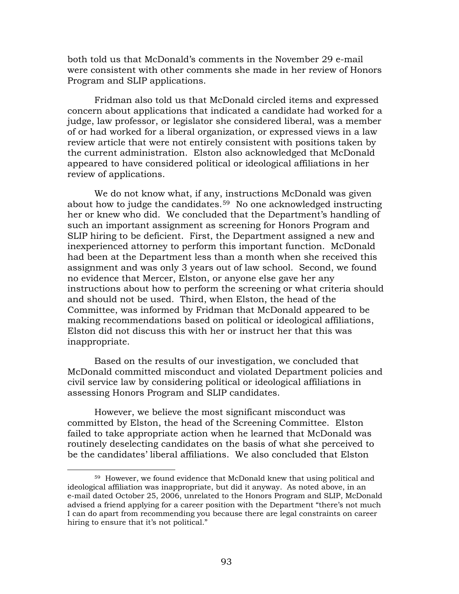both told us that McDonald's comments in the November 29 e-mail were consistent with other comments she made in her review of Honors Program and SLIP applications.

Fridman also told us that McDonald circled items and expressed concern about applications that indicated a candidate had worked for a judge, law professor, or legislator she considered liberal, was a member of or had worked for a liberal organization, or expressed views in a law review article that were not entirely consistent with positions taken by the current administration. Elston also acknowledged that McDonald appeared to have considered political or ideological affiliations in her review of applications.

We do not know what, if any, instructions McDonald was given about how to judge the candidates.<sup>[59](#page-97-0)</sup> No one acknowledged instructing her or knew who did. We concluded that the Department's handling of such an important assignment as screening for Honors Program and SLIP hiring to be deficient. First, the Department assigned a new and inexperienced attorney to perform this important function. McDonald had been at the Department less than a month when she received this assignment and was only 3 years out of law school. Second, we found no evidence that Mercer, Elston, or anyone else gave her any instructions about how to perform the screening or what criteria should and should not be used. Third, when Elston, the head of the Committee, was informed by Fridman that McDonald appeared to be making recommendations based on political or ideological affiliations, Elston did not discuss this with her or instruct her that this was inappropriate.

Based on the results of our investigation, we concluded that McDonald committed misconduct and violated Department policies and civil service law by considering political or ideological affiliations in assessing Honors Program and SLIP candidates.

However, we believe the most significant misconduct was committed by Elston, the head of the Screening Committee. Elston failed to take appropriate action when he learned that McDonald was routinely deselecting candidates on the basis of what she perceived to be the candidates' liberal affiliations. We also concluded that Elston

<span id="page-97-0"></span><sup>59</sup> However, we found evidence that McDonald knew that using political and ideological affiliation was inappropriate, but did it anyway. As noted above, in an e-mail dated October 25, 2006, unrelated to the Honors Program and SLIP, McDonald advised a friend applying for a career position with the Department "there's not much I can do apart from recommending you because there are legal constraints on career hiring to ensure that it's not political."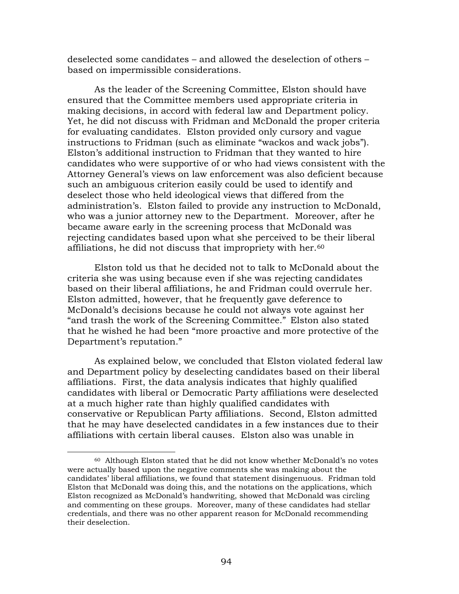deselected some candidates – and allowed the deselection of others – based on impermissible considerations.

As the leader of the Screening Committee, Elston should have ensured that the Committee members used appropriate criteria in making decisions, in accord with federal law and Department policy. Yet, he did not discuss with Fridman and McDonald the proper criteria for evaluating candidates. Elston provided only cursory and vague instructions to Fridman (such as eliminate "wackos and wack jobs"). Elston's additional instruction to Fridman that they wanted to hire candidates who were supportive of or who had views consistent with the Attorney General's views on law enforcement was also deficient because such an ambiguous criterion easily could be used to identify and deselect those who held ideological views that differed from the administration's. Elston failed to provide any instruction to McDonald, who was a junior attorney new to the Department. Moreover, after he became aware early in the screening process that McDonald was rejecting candidates based upon what she perceived to be their liberal affiliations, he did not discuss that impropriety with her.<sup>[60](#page-98-0)</sup>

Elston told us that he decided not to talk to McDonald about the criteria she was using because even if she was rejecting candidates based on their liberal affiliations, he and Fridman could overrule her. Elston admitted, however, that he frequently gave deference to McDonald's decisions because he could not always vote against her "and trash the work of the Screening Committee." Elston also stated that he wished he had been "more proactive and more protective of the Department's reputation."

As explained below, we concluded that Elston violated federal law and Department policy by deselecting candidates based on their liberal affiliations. First, the data analysis indicates that highly qualified candidates with liberal or Democratic Party affiliations were deselected at a much higher rate than highly qualified candidates with conservative or Republican Party affiliations. Second, Elston admitted that he may have deselected candidates in a few instances due to their affiliations with certain liberal causes. Elston also was unable in

<span id="page-98-0"></span><sup>60</sup> Although Elston stated that he did not know whether McDonald's no votes were actually based upon the negative comments she was making about the candidates' liberal affiliations, we found that statement disingenuous. Fridman told Elston that McDonald was doing this, and the notations on the applications, which Elston recognized as McDonald's handwriting, showed that McDonald was circling and commenting on these groups. Moreover, many of these candidates had stellar credentials, and there was no other apparent reason for McDonald recommending their deselection.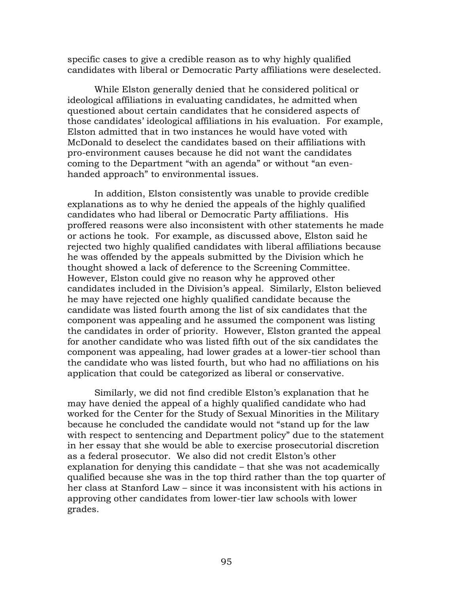specific cases to give a credible reason as to why highly qualified candidates with liberal or Democratic Party affiliations were deselected.

While Elston generally denied that he considered political or ideological affiliations in evaluating candidates, he admitted when questioned about certain candidates that he considered aspects of those candidates' ideological affiliations in his evaluation. For example, Elston admitted that in two instances he would have voted with McDonald to deselect the candidates based on their affiliations with pro-environment causes because he did not want the candidates coming to the Department "with an agenda" or without "an evenhanded approach" to environmental issues.

 In addition, Elston consistently was unable to provide credible explanations as to why he denied the appeals of the highly qualified candidates who had liberal or Democratic Party affiliations. His proffered reasons were also inconsistent with other statements he made or actions he took. For example, as discussed above, Elston said he rejected two highly qualified candidates with liberal affiliations because he was offended by the appeals submitted by the Division which he thought showed a lack of deference to the Screening Committee. However, Elston could give no reason why he approved other candidates included in the Division's appeal. Similarly, Elston believed he may have rejected one highly qualified candidate because the candidate was listed fourth among the list of six candidates that the component was appealing and he assumed the component was listing the candidates in order of priority. However, Elston granted the appeal for another candidate who was listed fifth out of the six candidates the component was appealing, had lower grades at a lower-tier school than the candidate who was listed fourth, but who had no affiliations on his application that could be categorized as liberal or conservative.

Similarly, we did not find credible Elston's explanation that he may have denied the appeal of a highly qualified candidate who had worked for the Center for the Study of Sexual Minorities in the Military because he concluded the candidate would not "stand up for the law with respect to sentencing and Department policy" due to the statement in her essay that she would be able to exercise prosecutorial discretion as a federal prosecutor. We also did not credit Elston's other explanation for denying this candidate – that she was not academically qualified because she was in the top third rather than the top quarter of her class at Stanford Law – since it was inconsistent with his actions in approving other candidates from lower-tier law schools with lower grades.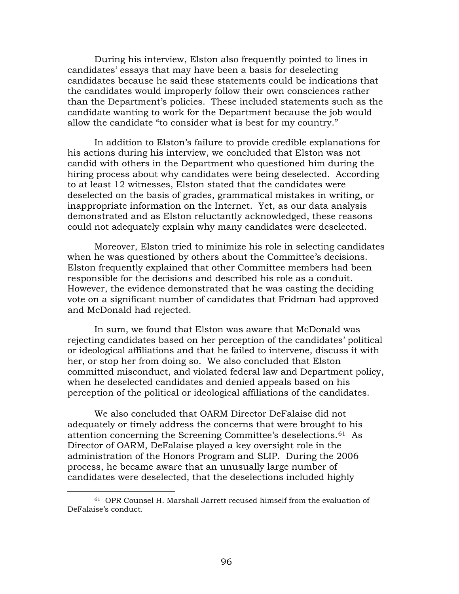During his interview, Elston also frequently pointed to lines in candidates' essays that may have been a basis for deselecting candidates because he said these statements could be indications that the candidates would improperly follow their own consciences rather than the Department's policies. These included statements such as the candidate wanting to work for the Department because the job would allow the candidate "to consider what is best for my country."

In addition to Elston's failure to provide credible explanations for his actions during his interview, we concluded that Elston was not candid with others in the Department who questioned him during the hiring process about why candidates were being deselected. According to at least 12 witnesses, Elston stated that the candidates were deselected on the basis of grades, grammatical mistakes in writing, or inappropriate information on the Internet. Yet, as our data analysis demonstrated and as Elston reluctantly acknowledged, these reasons could not adequately explain why many candidates were deselected.

Moreover, Elston tried to minimize his role in selecting candidates when he was questioned by others about the Committee's decisions. Elston frequently explained that other Committee members had been responsible for the decisions and described his role as a conduit. However, the evidence demonstrated that he was casting the deciding vote on a significant number of candidates that Fridman had approved and McDonald had rejected.

 In sum, we found that Elston was aware that McDonald was rejecting candidates based on her perception of the candidates' political or ideological affiliations and that he failed to intervene, discuss it with her, or stop her from doing so. We also concluded that Elston committed misconduct, and violated federal law and Department policy, when he deselected candidates and denied appeals based on his perception of the political or ideological affiliations of the candidates.

 We also concluded that OARM Director DeFalaise did not adequately or timely address the concerns that were brought to his attention concerning the Screening Committee's deselections.[61](#page-100-0) As Director of OARM, DeFalaise played a key oversight role in the administration of the Honors Program and SLIP. During the 2006 process, he became aware that an unusually large number of candidates were deselected, that the deselections included highly

<span id="page-100-0"></span><sup>61</sup> OPR Counsel H. Marshall Jarrett recused himself from the evaluation of DeFalaise's conduct.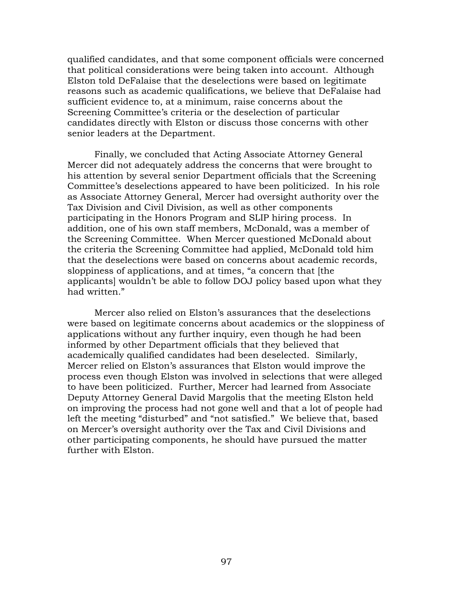qualified candidates, and that some component officials were concerned that political considerations were being taken into account. Although Elston told DeFalaise that the deselections were based on legitimate reasons such as academic qualifications, we believe that DeFalaise had sufficient evidence to, at a minimum, raise concerns about the Screening Committee's criteria or the deselection of particular candidates directly with Elston or discuss those concerns with other senior leaders at the Department.

 Finally, we concluded that Acting Associate Attorney General Mercer did not adequately address the concerns that were brought to his attention by several senior Department officials that the Screening Committee's deselections appeared to have been politicized. In his role as Associate Attorney General, Mercer had oversight authority over the Tax Division and Civil Division, as well as other components participating in the Honors Program and SLIP hiring process. In addition, one of his own staff members, McDonald, was a member of the Screening Committee. When Mercer questioned McDonald about the criteria the Screening Committee had applied, McDonald told him that the deselections were based on concerns about academic records, sloppiness of applications, and at times, "a concern that [the applicants] wouldn't be able to follow DOJ policy based upon what they had written."

 Mercer also relied on Elston's assurances that the deselections were based on legitimate concerns about academics or the sloppiness of applications without any further inquiry, even though he had been informed by other Department officials that they believed that academically qualified candidates had been deselected. Similarly, Mercer relied on Elston's assurances that Elston would improve the process even though Elston was involved in selections that were alleged to have been politicized. Further, Mercer had learned from Associate Deputy Attorney General David Margolis that the meeting Elston held on improving the process had not gone well and that a lot of people had left the meeting "disturbed" and "not satisfied." We believe that, based on Mercer's oversight authority over the Tax and Civil Divisions and other participating components, he should have pursued the matter further with Elston.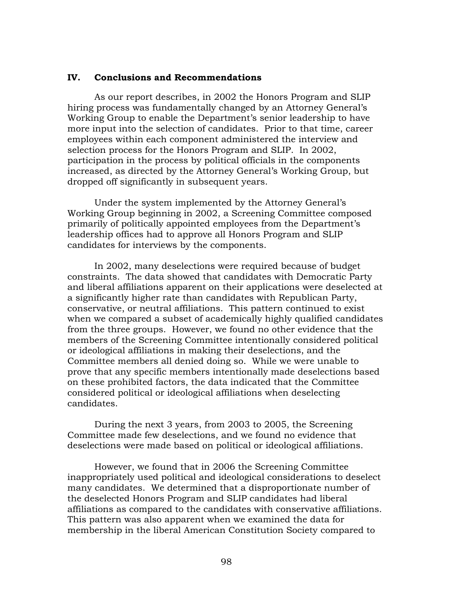#### **IV. Conclusions and Recommendations**

As our report describes, in 2002 the Honors Program and SLIP hiring process was fundamentally changed by an Attorney General's Working Group to enable the Department's senior leadership to have more input into the selection of candidates. Prior to that time, career employees within each component administered the interview and selection process for the Honors Program and SLIP. In 2002, participation in the process by political officials in the components increased, as directed by the Attorney General's Working Group, but dropped off significantly in subsequent years.

Under the system implemented by the Attorney General's Working Group beginning in 2002, a Screening Committee composed primarily of politically appointed employees from the Department's leadership offices had to approve all Honors Program and SLIP candidates for interviews by the components.

In 2002, many deselections were required because of budget constraints. The data showed that candidates with Democratic Party and liberal affiliations apparent on their applications were deselected at a significantly higher rate than candidates with Republican Party, conservative, or neutral affiliations. This pattern continued to exist when we compared a subset of academically highly qualified candidates from the three groups. However, we found no other evidence that the members of the Screening Committee intentionally considered political or ideological affiliations in making their deselections, and the Committee members all denied doing so. While we were unable to prove that any specific members intentionally made deselections based on these prohibited factors, the data indicated that the Committee considered political or ideological affiliations when deselecting candidates.

During the next 3 years, from 2003 to 2005, the Screening Committee made few deselections, and we found no evidence that deselections were made based on political or ideological affiliations.

However, we found that in 2006 the Screening Committee inappropriately used political and ideological considerations to deselect many candidates. We determined that a disproportionate number of the deselected Honors Program and SLIP candidates had liberal affiliations as compared to the candidates with conservative affiliations. This pattern was also apparent when we examined the data for membership in the liberal American Constitution Society compared to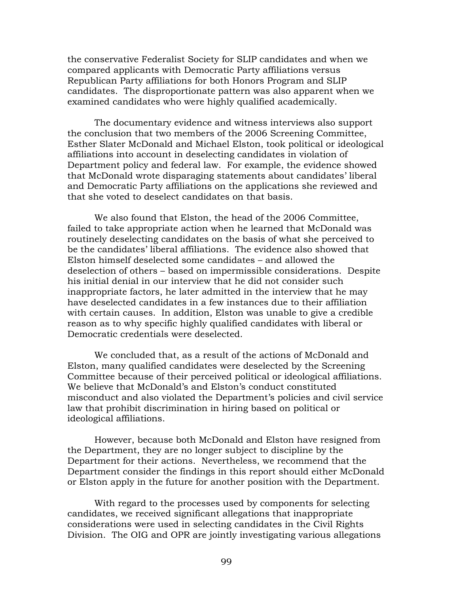the conservative Federalist Society for SLIP candidates and when we compared applicants with Democratic Party affiliations versus Republican Party affiliations for both Honors Program and SLIP candidates. The disproportionate pattern was also apparent when we examined candidates who were highly qualified academically.

 The documentary evidence and witness interviews also support the conclusion that two members of the 2006 Screening Committee, Esther Slater McDonald and Michael Elston, took political or ideological affiliations into account in deselecting candidates in violation of Department policy and federal law. For example, the evidence showed that McDonald wrote disparaging statements about candidates' liberal and Democratic Party affiliations on the applications she reviewed and that she voted to deselect candidates on that basis.

We also found that Elston, the head of the 2006 Committee, failed to take appropriate action when he learned that McDonald was routinely deselecting candidates on the basis of what she perceived to be the candidates' liberal affiliations. The evidence also showed that Elston himself deselected some candidates – and allowed the deselection of others – based on impermissible considerations. Despite his initial denial in our interview that he did not consider such inappropriate factors, he later admitted in the interview that he may have deselected candidates in a few instances due to their affiliation with certain causes. In addition, Elston was unable to give a credible reason as to why specific highly qualified candidates with liberal or Democratic credentials were deselected.

We concluded that, as a result of the actions of McDonald and Elston, many qualified candidates were deselected by the Screening Committee because of their perceived political or ideological affiliations. We believe that McDonald's and Elston's conduct constituted misconduct and also violated the Department's policies and civil service law that prohibit discrimination in hiring based on political or ideological affiliations.

However, because both McDonald and Elston have resigned from the Department, they are no longer subject to discipline by the Department for their actions. Nevertheless, we recommend that the Department consider the findings in this report should either McDonald or Elston apply in the future for another position with the Department.

With regard to the processes used by components for selecting candidates, we received significant allegations that inappropriate considerations were used in selecting candidates in the Civil Rights Division. The OIG and OPR are jointly investigating various allegations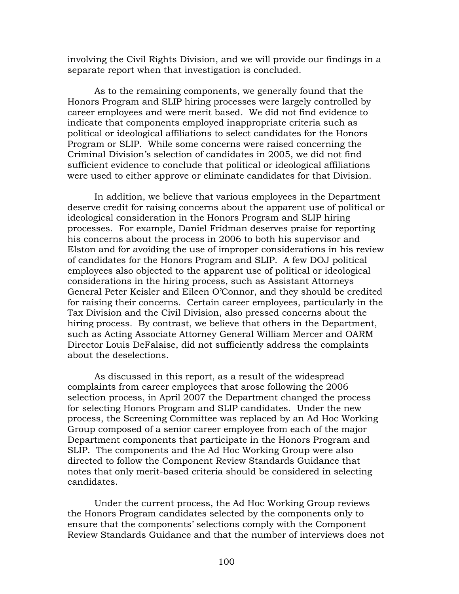involving the Civil Rights Division, and we will provide our findings in a separate report when that investigation is concluded.

As to the remaining components, we generally found that the Honors Program and SLIP hiring processes were largely controlled by career employees and were merit based. We did not find evidence to indicate that components employed inappropriate criteria such as political or ideological affiliations to select candidates for the Honors Program or SLIP. While some concerns were raised concerning the Criminal Division's selection of candidates in 2005, we did not find sufficient evidence to conclude that political or ideological affiliations were used to either approve or eliminate candidates for that Division.

 In addition, we believe that various employees in the Department deserve credit for raising concerns about the apparent use of political or ideological consideration in the Honors Program and SLIP hiring processes. For example, Daniel Fridman deserves praise for reporting his concerns about the process in 2006 to both his supervisor and Elston and for avoiding the use of improper considerations in his review of candidates for the Honors Program and SLIP. A few DOJ political employees also objected to the apparent use of political or ideological considerations in the hiring process, such as Assistant Attorneys General Peter Keisler and Eileen O'Connor, and they should be credited for raising their concerns. Certain career employees, particularly in the Tax Division and the Civil Division, also pressed concerns about the hiring process. By contrast, we believe that others in the Department, such as Acting Associate Attorney General William Mercer and OARM Director Louis DeFalaise, did not sufficiently address the complaints about the deselections.

 As discussed in this report, as a result of the widespread complaints from career employees that arose following the 2006 selection process, in April 2007 the Department changed the process for selecting Honors Program and SLIP candidates. Under the new process, the Screening Committee was replaced by an Ad Hoc Working Group composed of a senior career employee from each of the major Department components that participate in the Honors Program and SLIP. The components and the Ad Hoc Working Group were also directed to follow the Component Review Standards Guidance that notes that only merit-based criteria should be considered in selecting candidates.

 Under the current process, the Ad Hoc Working Group reviews the Honors Program candidates selected by the components only to ensure that the components' selections comply with the Component Review Standards Guidance and that the number of interviews does not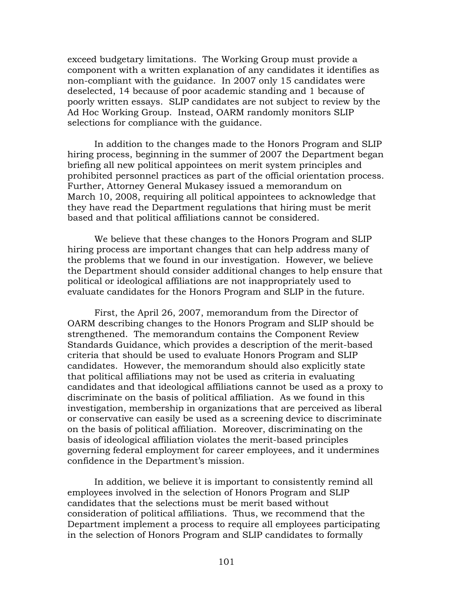exceed budgetary limitations. The Working Group must provide a component with a written explanation of any candidates it identifies as non-compliant with the guidance. In 2007 only 15 candidates were deselected, 14 because of poor academic standing and 1 because of poorly written essays. SLIP candidates are not subject to review by the Ad Hoc Working Group. Instead, OARM randomly monitors SLIP selections for compliance with the guidance.

 In addition to the changes made to the Honors Program and SLIP hiring process, beginning in the summer of 2007 the Department began briefing all new political appointees on merit system principles and prohibited personnel practices as part of the official orientation process. Further, Attorney General Mukasey issued a memorandum on March 10, 2008, requiring all political appointees to acknowledge that they have read the Department regulations that hiring must be merit based and that political affiliations cannot be considered.

 We believe that these changes to the Honors Program and SLIP hiring process are important changes that can help address many of the problems that we found in our investigation. However, we believe the Department should consider additional changes to help ensure that political or ideological affiliations are not inappropriately used to evaluate candidates for the Honors Program and SLIP in the future.

 First, the April 26, 2007, memorandum from the Director of OARM describing changes to the Honors Program and SLIP should be strengthened. The memorandum contains the Component Review Standards Guidance, which provides a description of the merit-based criteria that should be used to evaluate Honors Program and SLIP candidates. However, the memorandum should also explicitly state that political affiliations may not be used as criteria in evaluating candidates and that ideological affiliations cannot be used as a proxy to discriminate on the basis of political affiliation. As we found in this investigation, membership in organizations that are perceived as liberal or conservative can easily be used as a screening device to discriminate on the basis of political affiliation. Moreover, discriminating on the basis of ideological affiliation violates the merit-based principles governing federal employment for career employees, and it undermines confidence in the Department's mission.

 In addition, we believe it is important to consistently remind all employees involved in the selection of Honors Program and SLIP candidates that the selections must be merit based without consideration of political affiliations. Thus, we recommend that the Department implement a process to require all employees participating in the selection of Honors Program and SLIP candidates to formally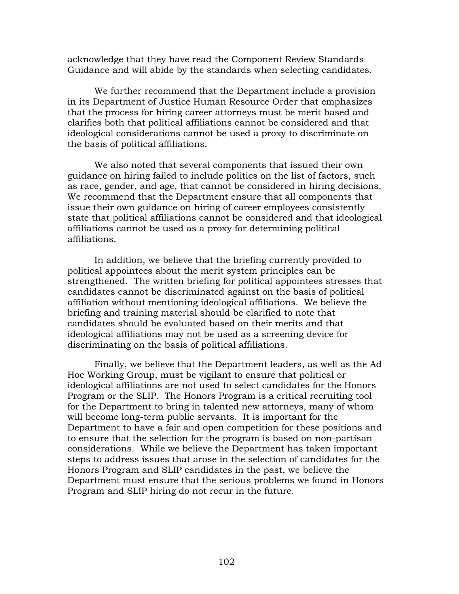acknowledge that they have read the Component Review Standards Guidance and will abide by the standards when selecting candidates.

 We further recommend that the Department include a provision in its Department of Justice Human Resource Order that emphasizes that the process for hiring career attorneys must be merit based and clarifies both that political affiliations cannot be considered and that ideological considerations cannot be used a proxy to discriminate on the basis of political affiliations.

 We also noted that several components that issued their own guidance on hiring failed to include politics on the list of factors, such as race, gender, and age, that cannot be considered in hiring decisions. We recommend that the Department ensure that all components that issue their own guidance on hiring of career employees consistently state that political affiliations cannot be considered and that ideological affiliations cannot be used as a proxy for determining political affiliations.

 In addition, we believe that the briefing currently provided to political appointees about the merit system principles can be strengthened. The written briefing for political appointees stresses that candidates cannot be discriminated against on the basis of political affiliation without mentioning ideological affiliations. We believe the briefing and training material should be clarified to note that candidates should be evaluated based on their merits and that ideological affiliations may not be used as a screening device for discriminating on the basis of political affiliations.

 Finally, we believe that the Department leaders, as well as the Ad Hoc Working Group, must be vigilant to ensure that political or ideological affiliations are not used to select candidates for the Honors Program or the SLIP. The Honors Program is a critical recruiting tool for the Department to bring in talented new attorneys, many of whom will become long-term public servants. It is important for the Department to have a fair and open competition for these positions and to ensure that the selection for the program is based on non-partisan considerations. While we believe the Department has taken important steps to address issues that arose in the selection of candidates for the Honors Program and SLIP candidates in the past, we believe the Department must ensure that the serious problems we found in Honors Program and SLIP hiring do not recur in the future.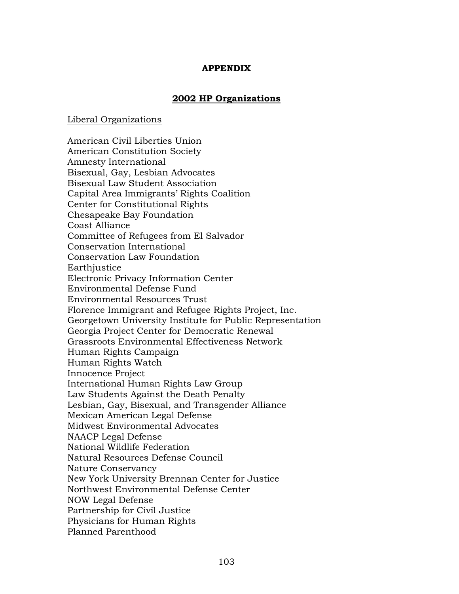# **APPENDIX**

# **2002 HP Organizations**

## Liberal Organizations

American Civil Liberties Union American Constitution Society Amnesty International Bisexual, Gay, Lesbian Advocates Bisexual Law Student Association Capital Area Immigrants' Rights Coalition Center for Constitutional Rights Chesapeake Bay Foundation Coast Alliance Committee of Refugees from El Salvador Conservation International Conservation Law Foundation Earthjustice Electronic Privacy Information Center Environmental Defense Fund Environmental Resources Trust Florence Immigrant and Refugee Rights Project, Inc. Georgetown University Institute for Public Representation Georgia Project Center for Democratic Renewal Grassroots Environmental Effectiveness Network Human Rights Campaign Human Rights Watch Innocence Project International Human Rights Law Group Law Students Against the Death Penalty Lesbian, Gay, Bisexual, and Transgender Alliance Mexican American Legal Defense Midwest Environmental Advocates NAACP Legal Defense National Wildlife Federation Natural Resources Defense Council Nature Conservancy New York University Brennan Center for Justice Northwest Environmental Defense Center NOW Legal Defense Partnership for Civil Justice Physicians for Human Rights Planned Parenthood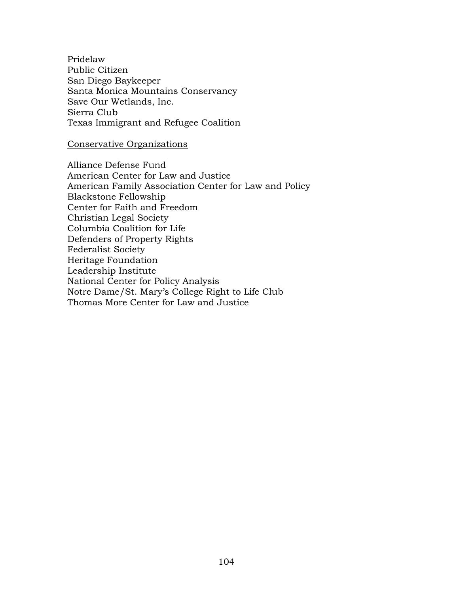Pridelaw Public Citizen San Diego Baykeeper Santa Monica Mountains Conservancy Save Our Wetlands, Inc. Sierra Club Texas Immigrant and Refugee Coalition

# Conservative Organizations

Alliance Defense Fund American Center for Law and Justice American Family Association Center for Law and Policy Blackstone Fellowship Center for Faith and Freedom Christian Legal Society Columbia Coalition for Life Defenders of Property Rights Federalist Society Heritage Foundation Leadership Institute National Center for Policy Analysis Notre Dame/St. Mary's College Right to Life Club Thomas More Center for Law and Justice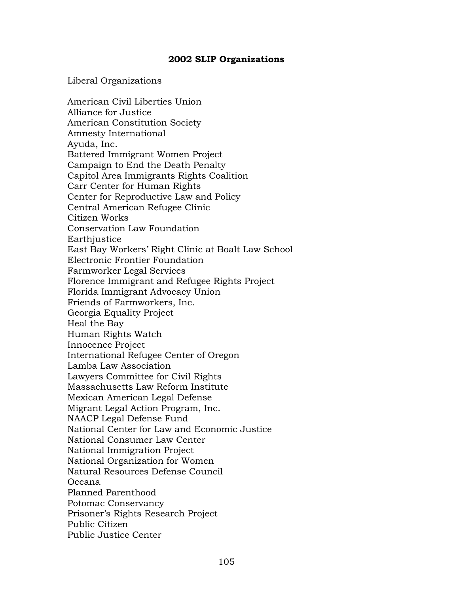# **2002 SLIP Organizations**

# Liberal Organizations

American Civil Liberties Union Alliance for Justice American Constitution Society Amnesty International Ayuda, Inc. Battered Immigrant Women Project Campaign to End the Death Penalty Capitol Area Immigrants Rights Coalition Carr Center for Human Rights Center for Reproductive Law and Policy Central American Refugee Clinic Citizen Works Conservation Law Foundation Earthjustice East Bay Workers' Right Clinic at Boalt Law School Electronic Frontier Foundation Farmworker Legal Services Florence Immigrant and Refugee Rights Project Florida Immigrant Advocacy Union Friends of Farmworkers, Inc. Georgia Equality Project Heal the Bay Human Rights Watch Innocence Project International Refugee Center of Oregon Lamba Law Association Lawyers Committee for Civil Rights Massachusetts Law Reform Institute Mexican American Legal Defense Migrant Legal Action Program, Inc. NAACP Legal Defense Fund National Center for Law and Economic Justice National Consumer Law Center National Immigration Project National Organization for Women Natural Resources Defense Council Oceana Planned Parenthood Potomac Conservancy Prisoner's Rights Research Project Public Citizen Public Justice Center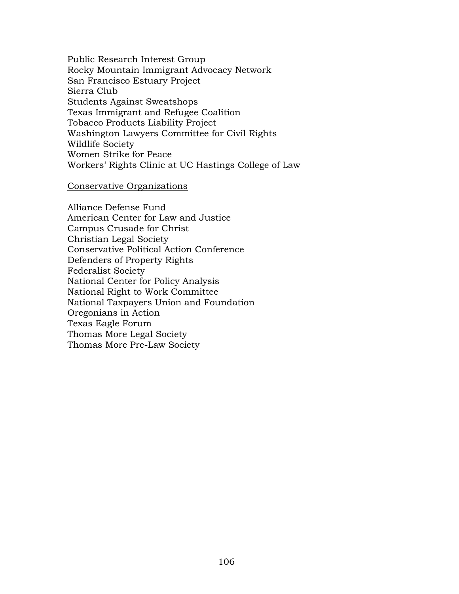Public Research Interest Group Rocky Mountain Immigrant Advocacy Network San Francisco Estuary Project Sierra Club Students Against Sweatshops Texas Immigrant and Refugee Coalition Tobacco Products Liability Project Washington Lawyers Committee for Civil Rights Wildlife Society Women Strike for Peace Workers' Rights Clinic at UC Hastings College of Law

#### Conservative Organizations

Alliance Defense Fund American Center for Law and Justice Campus Crusade for Christ Christian Legal Society Conservative Political Action Conference Defenders of Property Rights Federalist Society National Center for Policy Analysis National Right to Work Committee National Taxpayers Union and Foundation Oregonians in Action Texas Eagle Forum Thomas More Legal Society Thomas More Pre-Law Society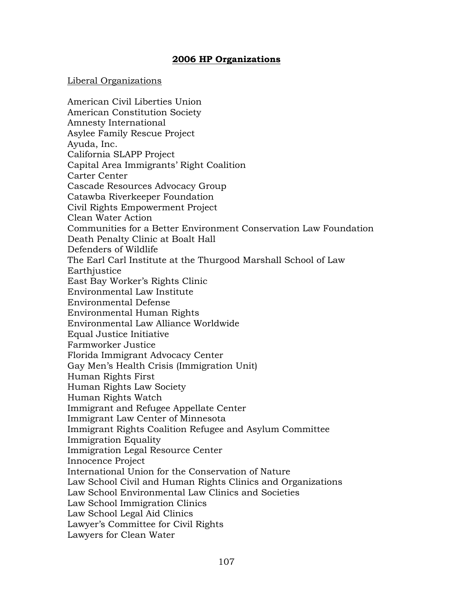# **2006 HP Organizations**

### Liberal Organizations

American Civil Liberties Union American Constitution Society Amnesty International Asylee Family Rescue Project Ayuda, Inc. California SLAPP Project Capital Area Immigrants' Right Coalition Carter Center Cascade Resources Advocacy Group Catawba Riverkeeper Foundation Civil Rights Empowerment Project Clean Water Action Communities for a Better Environment Conservation Law Foundation Death Penalty Clinic at Boalt Hall Defenders of Wildlife The Earl Carl Institute at the Thurgood Marshall School of Law **Earthjustice** East Bay Worker's Rights Clinic Environmental Law Institute Environmental Defense Environmental Human Rights Environmental Law Alliance Worldwide Equal Justice Initiative Farmworker Justice Florida Immigrant Advocacy Center Gay Men's Health Crisis (Immigration Unit) Human Rights First Human Rights Law Society Human Rights Watch Immigrant and Refugee Appellate Center Immigrant Law Center of Minnesota Immigrant Rights Coalition Refugee and Asylum Committee Immigration Equality Immigration Legal Resource Center Innocence Project International Union for the Conservation of Nature Law School Civil and Human Rights Clinics and Organizations Law School Environmental Law Clinics and Societies Law School Immigration Clinics Law School Legal Aid Clinics Lawyer's Committee for Civil Rights Lawyers for Clean Water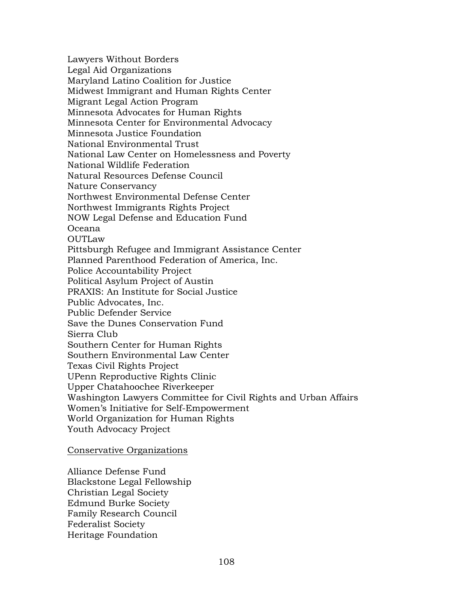Lawyers Without Borders Legal Aid Organizations Maryland Latino Coalition for Justice Midwest Immigrant and Human Rights Center Migrant Legal Action Program Minnesota Advocates for Human Rights Minnesota Center for Environmental Advocacy Minnesota Justice Foundation National Environmental Trust National Law Center on Homelessness and Poverty National Wildlife Federation Natural Resources Defense Council Nature Conservancy Northwest Environmental Defense Center Northwest Immigrants Rights Project NOW Legal Defense and Education Fund Oceana OUTLaw Pittsburgh Refugee and Immigrant Assistance Center Planned Parenthood Federation of America, Inc. Police Accountability Project Political Asylum Project of Austin PRAXIS: An Institute for Social Justice Public Advocates, Inc. Public Defender Service Save the Dunes Conservation Fund Sierra Club Southern Center for Human Rights Southern Environmental Law Center Texas Civil Rights Project UPenn Reproductive Rights Clinic Upper Chatahoochee Riverkeeper Washington Lawyers Committee for Civil Rights and Urban Affairs Women's Initiative for Self-Empowerment World Organization for Human Rights Youth Advocacy Project

# Conservative Organizations

Alliance Defense Fund Blackstone Legal Fellowship Christian Legal Society Edmund Burke Society Family Research Council Federalist Society Heritage Foundation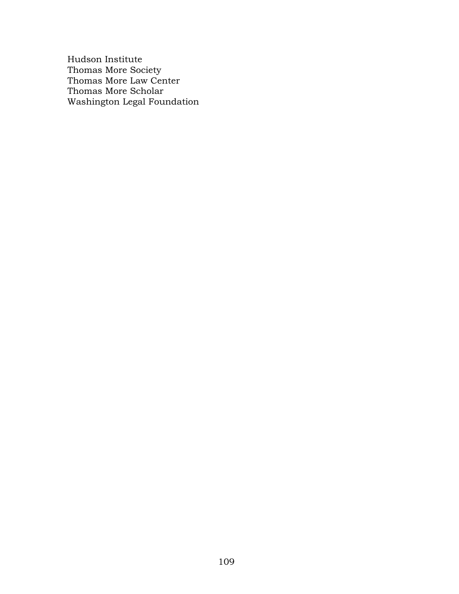Hudson Institute Thomas More Society Thomas More Law Center Thomas More Scholar Washington Legal Foundation